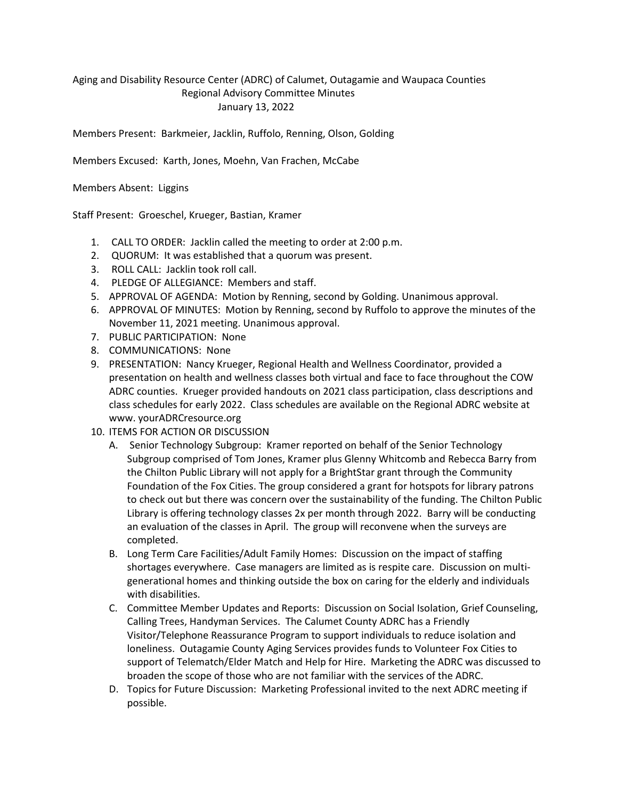## Aging and Disability Resource Center (ADRC) of Calumet, Outagamie and Waupaca Counties Regional Advisory Committee Minutes January 13, 2022

Members Present: Barkmeier, Jacklin, Ruffolo, Renning, Olson, Golding

Members Excused: Karth, Jones, Moehn, Van Frachen, McCabe

Members Absent: Liggins

Staff Present: Groeschel, Krueger, Bastian, Kramer

- 1. CALL TO ORDER: Jacklin called the meeting to order at 2:00 p.m.
- 2. QUORUM: It was established that a quorum was present.
- 3. ROLL CALL: Jacklin took roll call.
- 4. PLEDGE OF ALLEGIANCE: Members and staff.
- 5. APPROVAL OF AGENDA: Motion by Renning, second by Golding. Unanimous approval.
- 6. APPROVAL OF MINUTES: Motion by Renning, second by Ruffolo to approve the minutes of the November 11, 2021 meeting. Unanimous approval.
- 7. PUBLIC PARTICIPATION: None
- 8. COMMUNICATIONS: None
- 9. PRESENTATION: Nancy Krueger, Regional Health and Wellness Coordinator, provided a presentation on health and wellness classes both virtual and face to face throughout the COW ADRC counties. Krueger provided handouts on 2021 class participation, class descriptions and class schedules for early 2022. Class schedules are available on the Regional ADRC website at www. yourADRCresource.org
- 10. ITEMS FOR ACTION OR DISCUSSION
	- A. Senior Technology Subgroup: Kramer reported on behalf of the Senior Technology Subgroup comprised of Tom Jones, Kramer plus Glenny Whitcomb and Rebecca Barry from the Chilton Public Library will not apply for a BrightStar grant through the Community Foundation of the Fox Cities. The group considered a grant for hotspots for library patrons to check out but there was concern over the sustainability of the funding. The Chilton Public Library is offering technology classes 2x per month through 2022. Barry will be conducting an evaluation of the classes in April. The group will reconvene when the surveys are completed.
	- B. Long Term Care Facilities/Adult Family Homes: Discussion on the impact of staffing shortages everywhere. Case managers are limited as is respite care. Discussion on multigenerational homes and thinking outside the box on caring for the elderly and individuals with disabilities.
	- C. Committee Member Updates and Reports: Discussion on Social Isolation, Grief Counseling, Calling Trees, Handyman Services. The Calumet County ADRC has a Friendly Visitor/Telephone Reassurance Program to support individuals to reduce isolation and loneliness. Outagamie County Aging Services provides funds to Volunteer Fox Cities to support of Telematch/Elder Match and Help for Hire. Marketing the ADRC was discussed to broaden the scope of those who are not familiar with the services of the ADRC.
	- D. Topics for Future Discussion: Marketing Professional invited to the next ADRC meeting if possible.